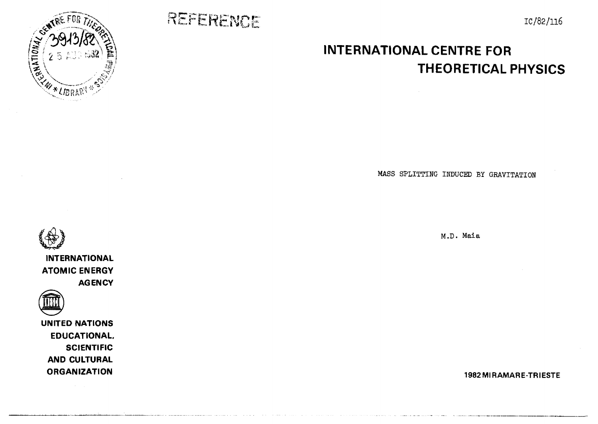

# REFERENCE

## **INTERNATIONAL CENTRE FOR THEORETICAL PHYSICS**

MASS SPLITTING INDUCED BY GRAVITATION

M.D. Maia

**1982MIRAMARE-TRIESTE**

**INTERNATIONAL**

**ATOMIC ENERGY AGENCY**



**UNITED NATIONS EDUCATIONAL, SCIENTIFIC AND CULTURAL ORGANIZATION**

IC/82/116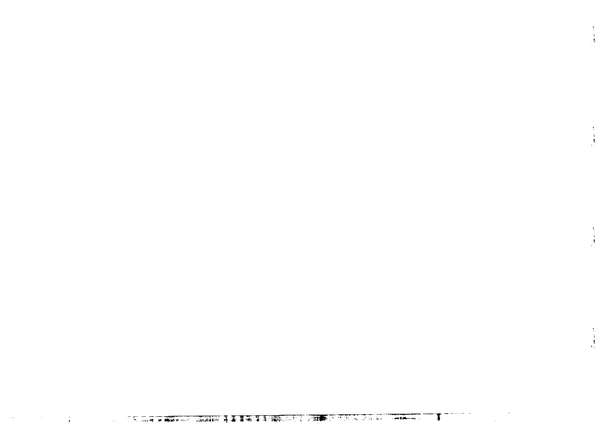$\label{eq:2.1} \mathcal{L}=\mathcal{L}(\mathcal{L}^{\text{max}}_{\text{max}}(\mathcal{L}^{\text{max}}_{\text{max}}(\mathcal{L}^{\text{max}}_{\text{max}}(\mathcal{L}^{\text{max}}_{\text{max}})))$ 

 $\Lambda^+$  $\frac{3}{2}$ 

 $\begin{array}{c} \mathcal{A}_1 \\ \mathcal{A}_2 \\ \mathcal{A}_3 \end{array}$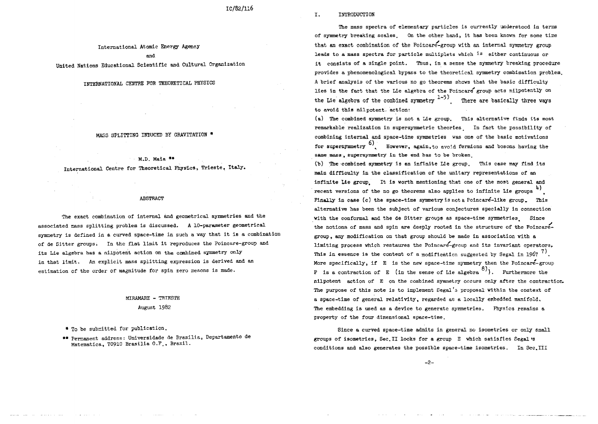## IC/82/116

#### I. INTRODUCTION

The mass spectra of elementary particles is currently understood in terms of symmetry breaking scales. On the other hand, it has been known for some time that an exact combination of the Poincare-group with an internal symmetry group leads to a mass spectra for particle multiplets which <sup>is</sup> either continuous or it consists of a single point. Thus, in a sense the symmetry breaking procedure provides a phenomenological bypass to the theoretical symmetry combination problem, A brief analysis of the various no go theorems shows that the basic difficulty lies in the fact that the Lie algebra of the Poincare group acts nilpotently on the Lie algebra of the combined symmetry<sup>1-5)</sup> There are basically three ways to avoid this nilpotent, action:

(a) The combined symmetry is not a Lie group. This alternative finds its most remarkable realization in supersymmetric theories . In fact the possibility of combining internal and space-time symmetries was one of the basic motivations for supersymmetry  $6$ ) However, again, to avoid fermions and bosons having the same mass, supersymmetry in the end has to be broken.

 $(b)$  The combined symmetry is an infinite Lie group. This case may find its main difficulty in the classification of the unitary representations of an infinite Lie group It Is worth mentioning that one of the most general and •+) recent versions of the no go theorems also applies to infinite Lie groups Finally in case (c) the space-time symmetry is net a Poincare-like group. This alternative has been the subject of various conjectures specially in connection with the conformal and the de Sitter groups as space-time symmetries. the notions of mass and spin are deeply rooted in the structure of the Poincaregroup, any modification on that group should be made in association with a limiting process which restaures the Poincare-group and its invariant operators. This in essence is the content of a modification suggested by Segal in 1967 **7)** More specifically, if E is the new space-time symmetry then the Poincare-group P is a contraction of E (in the sense of Lie algebra  $\{8\}$ ). Furthermore the nilpotent action of E on the combined symmetry occurs only after the contraction. The purpose of this note is to implement Segal's proposal within the context of a space-time of general relativity, regarded as a locally embedded manifold. The embedding is used as a device to generate symmetries. Physics remains a property of the four dimensional space-time.

Since a curved space-time admits in general no isometries or only small groups of isometries, Sec.II looks for a group E vhich satisfies Segal's conditions and also generates the possible space-time isometries. In Sec.Ill

**- 2 -**

#### International Atomic Energy Agency and

United Nations Educational Scientific and Cultural Organization

#### INTERNATIONAL CENTRE FOR THEORETICAL PHYSICS

#### MASS SPLITTING INDUCED BY GRAVITATION \*

#### M.D. Mala<sup>4\*</sup>

International Centre for Theoretical Physics, Trieste, Italy.

#### ABSTRACT

The exact combination of internal and geometrical symmetries and the associated mass splitting problem is discussed. A 10-parameter geometrical symmetry is defined in a curved space-time in such a way that it is a combination of de Sitter groups. In the flat limit it reproduces the Poincare-group and its Lie algebra has a nilpotent action on the eomhined symmetry only in that limit. An explicit mass splitting expression is derived and an estimation of the order of magnitude for spin zero mesons is made.

### MIRAHARE - TRIESTE August 1982

\* To be submitted for publication.

•• Permanent address: Universidade de Brasilia, Departamento de Matematica, 70910 Brasilia 0.F,, Brazil.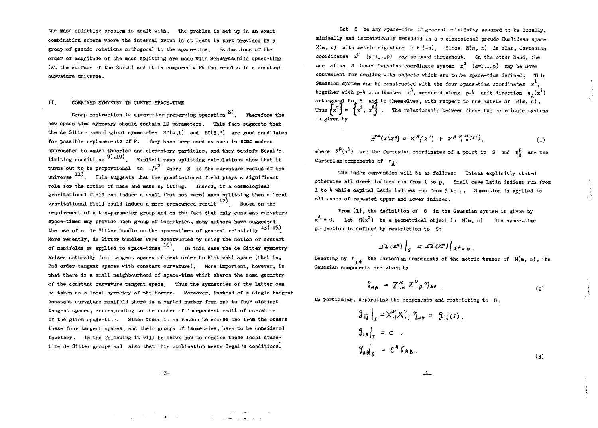the mass splitting problem is dealt with. The problem is set up in an exact combination scheme where the internal group is at least in part provided by a group of pseudo rotations orthogonal to the space-time. Estimations of the order of magnitude of the mass splitting are made with Schwarzschild space-time (at the surface of the Earth) and it is compared with the results in a constant curvature universe.

#### II. COMBINED SYMMETRY IN CURVED SPACE-TIME

Group contraction is aparameter preserving operation 8) Therefore the nev space-time symmetry should contain 10 parameters. This fact suggests that the de Sitter cosmological symmetries  $SO(4,1)$  and  $SO(3,2)$  are good candidates for possible replacements of  $P$ . They have been used as such in some modern approaches to gauge theories and elementary particles, and they satisfy Segal's,  $\texttt{limiting conditions} \overset{\textbf{y}_{j,10j}}{\sim} \texttt{Explicit mass splitting calculations show that it}$ turns out to be proportional to  $1/R^2$  where R is the curvature radius of the universe  $\frac{11}{10}$ . This suggests that the gravitational field plays a significant role for the notion of mass and mass splitting. Indeed, if a cosmological gravitational field can induce a small (but not aero) mass splitting then a local gravitational field could induce a more pronounced result  $^{12)}$  . Based on the requirement of a ten-parameter group and on the fact that only constant curvature space-times may provide such group of isometries, many authors have suggested the use of a de Sitter bundle on the space-times of general relativity  $13)-15$ . More recently, de Sitter bundles were constructed by using the notion of contact of manifolds as applied to space-times  $\frac{16}{10}$ . In this case the de Sitter symmetry arises naturally from tangent spaces of next order to Minkowski space (that is, 2nd order tangent spaces with constant curvature). More important, however, Is that there is a small neighbourhood of space-time which shares the same geometry of the constant curvature tangent space. Thus the symmetries of the latter can be taken as a local symmetry of the former. Moreover, instead of a single tangent constant curvature manifold there Is a varied number from one to four distinct tangent spaces, corresponding to the number of independent radii of curvature of the given space-time. Since there is no reason to choose one from the others these four tangent spaces, and their groups of isometries, have to be considered together . In the following It will be shown how to combine these local spacetime de Sitter groups and also that this combination meets Segal's conditions.

Let S be any space-time of general relativity assumed to be locally, minimally and isometrically embedded in a p-dimensional pseudo Euclidean space  $M(m, n)$  with metric signature  $m + (-n)$ . Since  $M(m, n)$  is flat, Cartesian coordinates  $2^{\mu}$  ( $\mu=1,\ldots,p$ ) may be used throughout. On the other hand, the use of an S based Gaussian coordinate system  $x^{\alpha}$  (a=l...p) may be more convenient for dealing with objects which are to be space-time defined. This .<br>Gaussian system can be constructed with the four space-time coordinates x<sup>1</sup> together with p-4 coordinates  $x^A$ , measured along p-4 unit direction  $n_A(x^1)$ orthogonal to S and to themselves, with respect to the metric of  $M(m, n)$ . Thus  $\{x^{\alpha}\}\ = \ \{x^1, x^{\alpha}\}\$ . The relationship between these two coordinate systems is given by

$$
Z^{A}(z^i;x^a) = X^{A}(z^i) + \chi^A \eta^A_{A}(x^i), \qquad (1)
$$

where  $X^{\mu}(x^1)$  are the Cartesian coordinates of a point in S and  $n^{\mu}_s$  are the Cartesian components of  $n_1$ .

The index convention will be as follows: Unless explicitly stated otherwise all Greek indices run from 1 to p, Small case Latin indices run from 1 to 4 while capital Latin indices run from 5 to p. Summation is applied to all cases of repeated upper and lower indices.

From  $(1)$ , the definition of S in the Gaussian system is given by  $x^A = 0$ . Let  $\Omega(x^{\alpha})$  be a geometrical object in  $M(m, n)$  its space-time projection is defined by restriction to S:

$$
\left|\Omega\left(\mathcal{K}^{\alpha}\right)\right|_{S}=\Omega\left(\mathcal{K}^{\alpha}\right)\left|_{\mathcal{K}^{A}=\Omega}\right|.
$$

Denoting by  $n_{\text{tot}}$  the Cartesian components of the metric tensor of  $M(m, n)$ , its Gaussian components are given by

$$
\mathcal{J}_{\alpha\beta} = Z_{\alpha\alpha}^{\alpha} Z_{\beta}^{\beta} \eta_{\alpha\beta} \tag{2}
$$

In particular, separating the components and restricting to S ,

$$
\mathcal{G}_{ij}\Big|_{S} = \mathcal{X}_{ij}^{a} \mathcal{X}_{ij}^{b} \eta_{\mu\nu} = \mathcal{G}_{ij}(s),
$$
  
\n
$$
\mathcal{G}_{i\alpha}\Big|_{S} = 0
$$
  
\n
$$
\mathcal{G}_{\alpha\alpha}\Big|_{S} = \mathcal{E}^{A} \mathcal{S}_{AB}.
$$
\n(3)

-3- -k-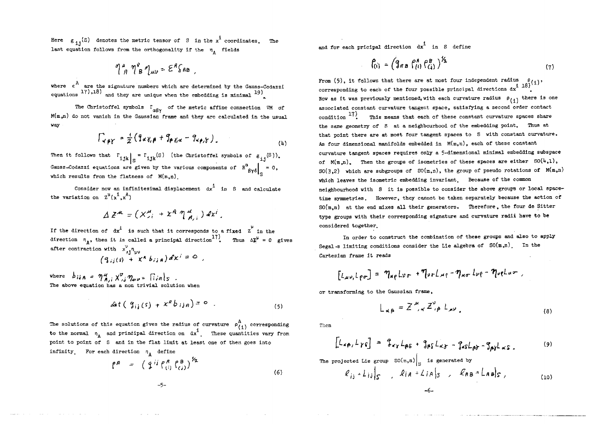Here  $g_{44}(S)$  denotes the metric tensor of S in the x<sup>1</sup> coordinates. The last equation follows from the orthogonality if the  $n_A$  fields

$$
\int_{A}^{\mu} \eta_{B}^{\nu} \eta_{\mu\nu} = \mathcal{E}^{A} \delta_{AB}
$$

A equations where e" are the signature numbers which are determined by the Gauss-Codazzi  $10'$  and they are unique when the embedding is minimal

The Christoffel symbols  $\Gamma_{\alpha\beta\gamma}$  of the metric affine connection VM of  $M(m,n)$  do not vanish in the Gaussian frame and they are calculated in the usual M{m,n) do not vanish in the Gaussian frame and they are calculated in the usual

$$
\Gamma_{\alpha'\beta\gamma} = \frac{4}{2} \left( 4 \alpha \gamma_{,\beta} + 3 \gamma_{\alpha\beta\alpha} - 3 \gamma_{,\beta\gamma} \right) \tag{4}
$$

Then it follows that  $\left.\Gamma_{\textbf{i}j\textbf{k}}\right|_{S}=\Gamma_{\textbf{i}j\textbf{k}}(S)$  (the Christoffel symbols of  $\epsilon_{\textbf{i}j}(S)$ ). Gauss-Codazzi equations are given by the various components of  $R^4_{\beta\gamma\delta}$  = 0, which results from the flatness of  $M(m, n)$ .

Consider now an infinitesimal displacement  $dx^{\dagger}$  in S and calculate the variation on  $Z^{\mu}(x^1, x^A)$ 

$$
\Delta Z^{\mathcal{A}} = (X^{\mathcal{A}}_{\mathcal{A}i} + \chi^{\mathcal{A}} \eta^{\mathcal{A}}_{\mathcal{A},i}) dx^i
$$

If the direction of  $dx^i$  is such that it corresponds to a fixed Z in the direction  $n_A$ , then it is called a principal direction<sup>17</sup>. Thus  $\Delta Z^{\mu} = 0$  gives after contraction with  $x^0$ ,  $\eta$ 

$$
(q_{ij}(s) + x^a b_{ij} a) dx^i = 0 ,
$$

where  $b$ *ii A =*  $\eta_{A,i}^{\omega} \chi_{i,j}^{\omega} \eta_{\omega \nu}$  =  $\int i \, ds$   $\int$ The above equation has a non trivial solution when

$$
det (g_{ij}(s) + x^{\beta} b_{ij\beta}) = 0
$$
 (5)

The solutions of this equation gives the radius of curvature  $\rho_{A_1}^{\mu}$ , corresponding to the normal  $n_{\mathtt{A}}$  and principal direction on dx<sup>+</sup>. These quantities vary from point to point of S and in the flat limit at least one of them goes into infinity For each direction n. define

$$
\rho^{A} = \left(\begin{array}{cc} q^{ij} \rho_{(i)}^{A} \rho_{(j)}^{B} \end{array}\right)^{\frac{1}{2}} \tag{6}
$$

and for each pricipal direction  $dx^1$  in S define

$$
\mathfrak{f}_{(i)} = \left( \mathfrak{g}_{AB} \mathfrak{f}_{(i)}^A \mathfrak{f}_{(i)}^B \right)^{\mathfrak{f}_{\mathfrak{A}}} \tag{7}
$$

From (5), it follows that there are at most four independent radius  $\rho_{(1)}$ , for  $f(x)$ , it is the four that the four possible principal directions dx  $\frac{1}{2}$  18) Now as it was previously mentioned, with each curvature radius  $\rho_{(1)}$  there is one associated constant curvature tangent space, satisfying a second order contact condition  $17$ . This means that each of these constant curvature spaces share the same geometry of S at a neighbourhood of the embedding point. Thus at that point there are at most four tangent spaces to 5 with constant curvature. As four dimensional manifolds embedded in  $M(m,n)$ , each of these constant curvature tangent spaces requires only a 5-dimensional minimal embedding subspace of  $M(m,n)$ . Then the groups of isometries of these spaces are either  $SO(4,1)$ , SO(3,2) which are subgroups of  $SO(m,n)$ , the group of pseudo rotations of  $M(m,n)$ which leaves the isometric embedding invariant. Because of the common neighbourhood with S it is possible to consider the above groups or local spacetime symmetries. However, they cannot be taken separately because the action of  $SO(m,n)$  at the end mixes all their generators. Therefore, the four de Sitter type groups with their corresponding signature and curvature radii have to be considered together.

In order to construct the combination of these groups and also to apply Segal .s limiting conditions consider the Lie algebra of  $SO(m,n)$ . In the Cartesian frame it reads

$$
[L_{\mu\nu,}L_{\rho\sigma}]=\eta_{\mu\rho}L_{\nu\sigma}+\eta_{\nu\sigma}L_{\mu\rho}-\eta_{\mu\sigma}L_{\nu\rho}-\eta_{\sigma\rho}L_{\mu\sigma}
$$

or transforming to the Gaussian frame,

$$
A_{\mu\beta} = \overline{\mathcal{L}}^{\mu}{}_{,\alpha'} \overline{\mathcal{L}}^{\nu}{}_{,\beta} L_{,\alpha\nu} \tag{8}
$$

Then

$$
[L_{\alpha\beta}, L_{\gamma\delta}] = \mathcal{I}_{\alpha\gamma} L_{\beta\delta} + \mathcal{I}_{\beta\delta} L_{\alpha\delta} - \mathcal{I}_{\alpha\delta} L_{\beta\delta} - \mathcal{I}_{\beta\delta} L_{\alpha\delta}.
$$
 (9)

The projected Lie group  $50(m,n)$  is generated by

$$
\ell_{ij} - L_{ij}|_{S} , \quad \ell_{iA} - L_{iA}|_{S} , \quad \ell_{AB} - L_{AB}|_{S} , \tag{10}
$$

**-6-**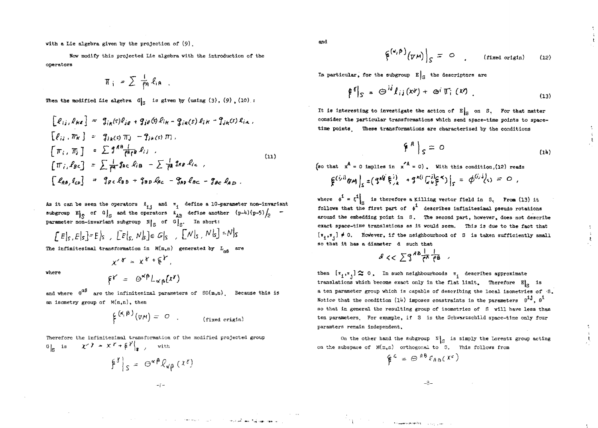with a Lie algebra given by the projection of  $(9)$ .

How modify this projected Lie algebra vith the introduction of the operators

$$
\pi_{i} = \sum \frac{1}{\rho_{n}} \ell_{i,n}
$$

Then the modified Lie algebra  $G_S$  is given by (using (3), (9), (10) :

$$
[e_{ij}, e_{ke}] = 3_{ik}(s)e_{i} + 9_{i}e(s)e_{ik} - 9_{i}e(s)e_{ik} - 9_{ik}(s)e_{ik},
$$
  
\n
$$
[e_{ij}, \pi_{k}] = 3_{ik}(s) \pi_{j} - 7_{ik}(s) \pi_{j},
$$
  
\n
$$
[\pi_{i}, \pi_{i}] = \sum 3^{AB} \frac{1}{e^{k}e^{B}} e_{ij},
$$
  
\n
$$
[\pi_{i}, e_{bc}] = \sum \frac{1}{f^{A}} 3_{bc} e_{i}^{B} - \sum \frac{1}{f^{A}} 3_{AB} e_{ic},
$$
  
\n
$$
[e_{AB}, e_{cb}] = 3_{R}e_{BD} + 3_{BD}e_{ac} - 3_{AD}e_{ac} - 3_{BC}e_{AD}.
$$
 (11)

As it can be seen the operators  $\begin{array}{c} \n k_{1j} \n \end{array}$  and  $\begin{array}{c} \n \pi_1 \n \end{array}$  define a 10-parameter non-invariant subgroup  $E|_{S}$  of  $G|_{S}$  and the operators  $\begin{array}{c} \n k_{AB} \n \end{array}$  define another  $(p-h)(p-5)/2$   $\end{array}$ parameter non-invariant subgroup  $N|_S$  of  $G|_S$ . In short:

$$
\left[\begin{array}{c|c}E|_{S},E|_{S}\end{array}\right]=E\left\{s\right\},\quad\left[\begin{array}{c|c}E|_{S},N|_{S}\end{array}\right]\in G\left\{s\right\},\quad\left[\begin{array}{c|c}N|_{S},N|_{S}\end{array}\right]=N|_{S}
$$

The infinitesimal transformation in  $M(m,n)$  generated by  $L_{\alpha\beta}$  are

 $x' = x^8 + 6^8$ 

where

 $f^{\gamma} = \Theta^{\alpha \beta} L_{\alpha \beta}(x^{\gamma})$ 

and where  $e^{\alpha\beta}$  are the infinitesimal parameters of  $SO(m,n)$ . Because this is an isometry group of H{m,n), then

$$
\oint_{\gamma} \left( \tilde{N}_{1} \beta \right) \left( \tilde{V}_{1} M \right) = O \quad . \quad \text{(fixed origin)}
$$

Therefore the infinitesimal transformation of the modified projected group  $G|_C$  is  $\chi' \chi'' = \chi'' + \frac{\xi}{2}$ , with  $\chi'$  **i**  $\star$   $\chi$ <sup>*r*</sup> +  $\frac{\xi}{2}$ <sup>*y*</sup>  $\Big|_{\alpha}$ , with

**-1-**

$$
\mathfrak{f}^{\delta}\Big|_{S} = \Theta^{\alpha\beta}\mathcal{L}_{\alpha\beta}(\lambda^{\delta})
$$

and

$$
\left.\xi^{(d,\beta)}(\gamma\mu)\right|_{S} = 0 \qquad (fixed \text{ or } \text{left}) \qquad (12)
$$

In particular, for the subgroup  $E|_S$  the descriptors are

$$
\left.\frac{\partial}{\partial t}\right|_{S} = \left.\frac{\partial}{\partial t} \hat{f}_{ij}(x\theta) + \Theta^i \mathbb{T}^i \left(x\theta\right)\right|_{\mathcal{L}} \tag{13}
$$

It is interesting to investigate the action of  $E|_S$  on S. For that matter consider the particular transformations which send space-time points to spacetime points. These transformations are characterized by the conditions

$$
\left.\begin{array}{c} \left.\begin{array}{c} \mathbf{A} \\ \mathbf{B} \end{array}\right|_{S} = 0 \end{array} \right|_{(1^{\mathbf{h}})}
$$

 $\mathcal{R}$ 

$$
\left\{\text{so that } x^A = 0 \text{ implies in } x'^A = 0\right\}. \text{ With this condition, (12) reads}
$$
\n
$$
\left.\oint_{S} (iy^B) dxdy\right|_{S} z\left(3^{kQ} \oint_{\gamma,k} + 3^{k(i} \int_{\gamma,k}^{ij} \oint_{\gamma} x\right)\Big|_{S} = \phi^{(i,j)}(x) = O,
$$

where  $\phi^1 = \xi^1 \Big|_S$  is therefore a Killing vector field in S. From (13) it follows that the first part of  $\phi^1$  describes infinitesimal pseudo rotations around the embedding point in S. The second part, however, does not describe exact space-time translations as it would seem. This is due to the fact that  $\left[\mathbf{I}_{1}, \mathbf{I}_{1}\right] \neq 0$ . However, if the neighbourhood of S is taken sufficiently small so that it has a diameter d such that

$$
d<<\sum q^{AB}\frac{1}{f^A}\frac{1}{f^B},
$$

then  $[\pi_j, \pi_j] \approx 0$ . In such neighbourhoods  $\pi_j$  describes approximate translations which become exact only in the flat limit. Therefore  $E|_q$  is a ten parameter group which is capable of describing the local isometries of .S. Notice that the condition (14) imposes constraints in the parameters  $e^{i \theta}$ .  $e^{i \theta}$ so that in general the resulting group of isometries of  $S$  will have less than ten parameters. For example, if S is the Schwarzschild space-time only four paramters remain independent.

On the other hand the subgroup  $N|_{S}$  is simply the Lorentz group acting on the subspace of  $M(m,n)$  orthogonal to S. This follows from

$$
f^{\mathcal{L}} = \Theta^{AB} \ell_{AB}(X^c)
$$

الموري ويون جانب التي توقف المواقع المواقع المواقع المواقع المواقع المواقع المواقع المواقع المواقع المواقع الم<br>المواقع المواقع المواقع المواقع المواقع المواقع المواقع المواقع المواقع المواقع المواقع المواقع المواقع المواق

 $-8-$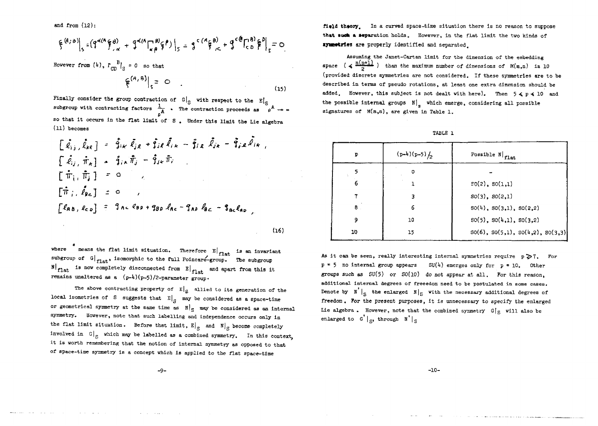$$
\left.\xi^{(A/B)}\right|_S=\left(9^{\alpha(A)}\xi^{B}\right)_{\alpha'}+9^{\alpha(A)}\xi^{B}\xi^{P}\right)_{S}=9^{\alpha(A)}\xi^{B}\xi^{P}+\left.9^{\alpha(B)}\xi^{B}\right|_S=0
$$

However from  $(h)$ ,  $r_{cm}^{B}|_{S} = 0$  so that

$$
\left.\left.\mathbf{E}\right\vert^{(A,\;B)}\right|_{S}=\;C\qquad.\tag{15}
$$

Finally consider the group contraction of  $G|_{\mathcal{C}}$  with respect to the  $E|_{\mathcal{C}}$ subgroup with contracting factors  $\frac{1}{4}$ . The contraction proceeds as  $\rho^A \rightarrow$ **P** so that it occurs in the flat limit of S . Under this limit the Lie algebra (ll) becomes

$$
\begin{aligned}\n[\hat{e}_{ij}, \hat{\ell}_{ke}] &= \hat{q}_{ik}\,\hat{\ell}_{jk} + \hat{q}_{ik}\,\hat{\ell}_{ik} - \hat{q}_{ik}\,\hat{\ell}_{jk} - \hat{q}_{ik}\,\hat{\ell}_{ik} \\
[\hat{e}_{ij}, \hat{\pi}_{k}] &= \hat{q}_{ik}\,\hat{\pi}_{j} - \hat{q}_{jk}\,\hat{\pi}_{i} \\
[\hat{\pi}_{i}, \hat{\pi}_{j}] &= 0 \\
[\hat{\pi}_{i}, \hat{\ell}_{Re}] &= 0 \\
[\hat{e}_{AB}, \hat{e}_{B}] &= 0 \\
[\hat{e}_{AB}, \hat{e}_{B}] &= 3 \text{a.} \text{C}_{BP} + 3 \text{b.} \text{C}_{AC} - 3 \text{a.} \text{C}_{BC} - 3 \text{a.} \text{C}_{AB}\n\end{aligned}
$$
\n(16)

where means the flat limit situation. Therefore  $E|_{\text{flat}}$  is an invariant subgroup of  $G|_{\text{flat}}$ , isomorphic to the full Foincare-group. The subgroup N| flat <sup>is now</sup> completely disconnected from E| <sub>flot</sub> and apart from this it remains unaltered as a  $(p-4)(p-5)/2$ -parameter group.

The above contracting property of  $E|_S$  allied to its generation of the local isometries of S suggests that  $E|_{S}$  may be considered as a space-time or geometrical symmetry at the same time as  $N|_{S}$  may be considered as an internal symmetry. However, note that such labelling and Independence occurs only in the flat limit situation. Before that limit,  $E|_S$  and  $N|_S$  become completely involved in  $G|_{g}$  which may be labelled as a combined symmetry. In this context, It is worth remembering that the notion of internal symmetry as opposed to that of space-time symmetry is a concept which is applied to the flat space-time

**field theory**. In a curved space-time situation there is no reason to suppose that such a separation holds. However, in the flat limit the two kinds of **•ywwtries** are properly identified and separated.

Assuming the Janet-Cartan limit for the dimension of the embedding space ( $\leq \frac{n(n+1)}{2}$ ) than the maximum number of dimensions of  $M(m,n)$  is 10 (provided discrete symmetries are not considered. If these symmetries are to be described in terms of pseudo rotations, at least one extra dimension should be added. However, this subject is not dealt with here). Then 5 < p < 10 and the possible internal groups  $N|_e$  which emerge, considering all possible signatures of M(m,n), are given in Table 1.

| г |  |
|---|--|
|   |  |

| р  | $(p-4)(p-5)/2$ | Possible $N _{flat}$                        |
|----|----------------|---------------------------------------------|
|    | o              |                                             |
| 6  |                | $SO(2)$ , $SO(1,1)$                         |
|    | 3              | $SO(3)$ , $SO(2,1)$                         |
| 8. | 6              | $SO(4)$ , $SO(3,1)$ , $SO(2,2)$             |
| 9  | 10             | $SO(5)$ , $SO(4,1)$ , $SO(3,2)$             |
| 10 | 15             | $SO(6)$ , $SO(5,1)$ , $SO(4,2)$ , $SO(3,3)$ |

As it can be seen, really interesting internal symmetries require  $p^*$ , For  $p = 5$  no internal group appears SU(4) emerges only for  $p = 10$ , Other groups such as  $SU(5)$  or  $SO(10)$  do not appear at all. For this reason, additional Internal degrees of freeedom need to be postulated in some cases. Denote by  $N' | g$  the enlarged  $N | g$  with the necessary additional degrees of freedom. For the present purposes, it is unnecessary to specify the enlarged Lie algebra . However, note that the combined symmetry G[c will also be enlarged to  $G' |_{S}$ , through  $N' |_{S}$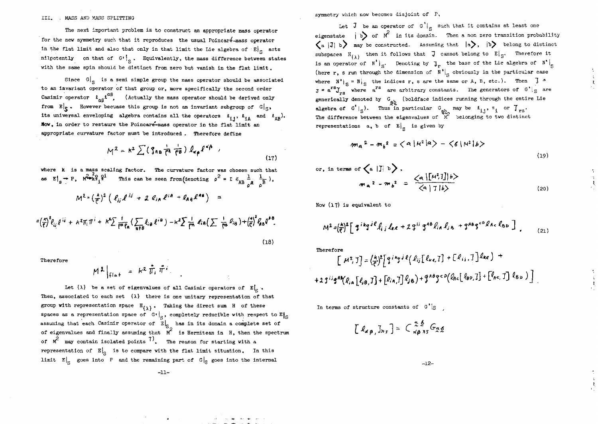#### III. . MASS AND MASS SPLITTING

The next Important problem is to construct an appropriate mass operator for the new symmetry such that it reproduces the usual Poincaré-mass operator in the flat limit and also that only in that limit the Lie algebra of  $E|_{S}$  acts nilpotently on that of  $G_1$ , Equivalently, the mass difference between states with the same spin should be distinct from zero but vanish In the flat limit,

Since  $G|_{\mathcal{R}}$  is a semi simple group the mass operator should be associated to an invariant operator of that group or, more specifically the second order Casimir operator  $\ell_{ad}i^{dB}$ , (Actually the mass operator should be derived only from  $E|_{\mathcal{C}}$ . However becuase this group is not an invariant subgroup of  $G|_{\mathcal{S}}$ , its universal enveloping algebra contains all the operators  $\ell_{1,1}$ ,  $\ell_{1,1}$  and  $\ell_{AB}$ ). Now. in order to restaure the Poincare-mass operator in the flat limit an appropriate curvature factor must be introduced. Therefore define

$$
M^{2} = K^{2} \sum (\zeta_{AB} \frac{1}{\zeta^{2}} \frac{1}{\zeta^{2}}) \ell_{\alpha\beta} l^{\alpha\beta} \qquad (17)
$$

where k is a mass scaling factor. The curvature factor was chosen such that as  $E|_{\alpha} \to P$ ,  $M^* \rightarrow K^2$ ,  $K^+$  This can be seen from (denoting  $\rho^2 = E \varepsilon_{\alpha} + \frac{1}{2} \varepsilon_{\alpha} + \frac{1}{2}$ , S . 1  $\mu$  ah  $\rho^2$  , and the set of the set of the set of the set of the set of the set of the set of the set of the set of the set of the set of the set of the set of the set of the set of the set of the set of the set  $^{\prime\prime}$  + 2  $\ell_{i}$  ,  $\ell^{\prime\prime}$  $\pi\left(\frac{\kappa}{\xi}\right)^2 \ell_{ij} \ell^{ij} + \kappa^2 \pi_i \pi^i + \kappa^2 \sum_{\beta \beta} \frac{i}{\beta \beta \beta} \left(\sum_{\alpha \neq \beta} \ell_{i\beta} \ell^{i\beta}\right) - \kappa^2 \sum_{\beta \beta} \frac{i}{\beta \beta} \ell_{i\beta} \left(\sum_{\beta} \frac{i}{\beta \beta} \ell_{i\beta}\right) + \left(\frac{\kappa}{\xi}\right)^2 \ell_{i\beta} \ell^{i\beta}.$ (18)

Therefore

$$
M^2|_{\text{flat}} = k^2 \hat{\pi} \hat{\pi}^2
$$

Let  $\{\lambda\}$  be a set of eigenvalues of all Casimir operators of  $E|_{\alpha}$ . Then, associated to each set *{X}* there is one unitary representation of that group with representation space  $H_{\{\lambda\}}$ . Taking the direct sum H of these spaces as a representation space of  $G^{\dagger}|_S$ , completely reducible with respect to E $|_S$ assuming that each Casimir operator of  $E|_{S_{\Omega}}$  has in its domain a complete set of of eigenvalues and finally assuming that  $M^2$  is Hermitean in H, then the spectrum of  $M^2$  may contain isolated points  $T$ . The reason for starting with a representation of  $E|_S$  is to compare with the flat limit situation. In this limit  $E|_{q}$  goes into P and the remaining part of G $|_{S}$  goes into the internal

symmetry which now becomes disjoint of P,

Let  $J$  be an operator of  $G^*|_{G}$  such that it contains at least one eigenstate  $\begin{pmatrix} 1 & b \end{pmatrix}$  of  $M^2$  in its domain. Then a non zero transition probability  $\langle a \vert J \vert b \rangle$  may be constructed. Assuming that  $|a\rangle$ ,  $|b\rangle$  belong to distinct subspaces  $H_{\{1\}}$  then it follows that  $J$  cannot belong to  $E|_{S'}$ . Therefore it is an operator of  $N^*|_{S}$ . Denoting by  $J_r$  the base of the Lie algebra of  $N^*|_{S}$ (here r, s run through the dimension of  $\|V\|_{\mathcal{R}}$  obviously in the particular case where  $N' \mid_S = N \mid_S$  the Indices r, s are the same or A, B, etc.). Then  $J =$  $J = a^{rs} J_{rs}$  where  $a^{rs}$  are arbitrary constants. The generators of  $G' |_{S}$  are generically denoted by  $G_{ab}$  (boldface indices running through the entire Lie algebra of G'|<sub>S</sub>). Thus in particular  $G_{ab}$  may be  $\ell_{1,1}$ ,  $\pi_1$  or  $\int_{TS}$ . The difference between the eigenvalues of Mr 'belonging to two distinct representations a, b of  $E|_g$  is given by

$$
m_a^2 - m_b^2 = \langle a | h^2 | a \rangle - \langle \xi | h^2 | b \rangle
$$
 (19)

or, in terms of 
$$
\langle a | J | b \rangle
$$
,  
\n $m a^2 - m b^2 = \frac{\langle a | [M^2, J] | b \rangle}{\langle a | J | b \rangle}$  (20)

Now (17) is equivalent to

$$
M^{2} = \left(\frac{k}{\xi}\right)^{2} \left[ 3^{ik} 3^{i\ell} \hat{J}_{i,j} \hat{J}_{ik}\hat{J}_{ik} + 23^{i\ell} 3^{i\delta} \hat{J}_{i\alpha} \hat{J}_{j\beta} + 3^{i\delta} 3^{i\delta} \hat{J}_{ik}\hat{J}_{\beta b} \right]_{(21)}
$$

Therefore

$$
[H2, J] = \left(\frac{k}{\epsilon}\right)^{2} \left[ 3^{i k} 3^{j \ell} \left( \ell_{ij} \left[ \ell_{k \ell}, T \right] + \left[ \ell_{ij}, T \right] \right] \ell_{k \ell} \right) +
$$
  
+23<sup>ij</sup> 3<sup>4</sup> 8 $\left(\ell_{i\theta}, T\right) + \left[ \ell_{i\theta}, T \right] \ell_{j\theta} + 3^{48} 3^{c \rho} \left( \ell_{k c} \left[ \ell_{\theta \rho}, T \right] + \left[ \ell_{n c}, T \right] \ell_{\theta \rho} \right) \right]$ 

In terms of structure constants of  $G'$ <sup>'</sup>

$$
[L_{\alpha\beta}, J_{\alpha\beta}] = C_{\alpha\beta\beta\delta}^{\alpha\beta} G_{\alpha\beta}
$$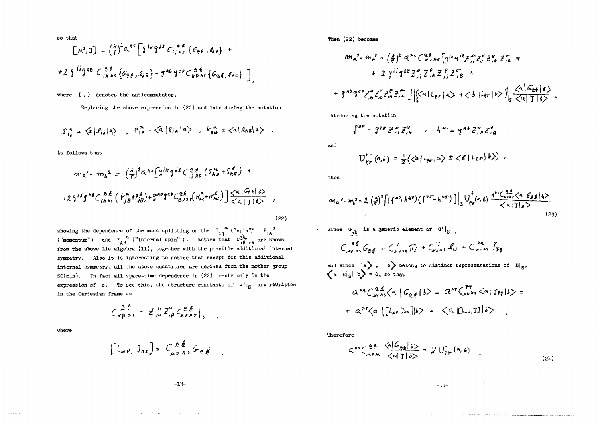so that  
\n
$$
[\mu^{2}, J] = (\frac{k}{r})^{2} a^{rs} \left[ 3^{ik} 3^{jk} C_{ij}^{ss} \left\{ G_{rel}, \ell_{rel} \right\} +
$$
\n+23<sup>ligAB</sup> C<sup>24</sup><sub>iaas</sub> { $G_{sg}$ ,  $\ell_{ig}}$  + 3<sup>agCD</sup> C<sup>24</sup><sub>abAs</sub> { $G_{sg}$ ,  $\ell_{rel}$  }

vhere { , } denotes the anticommutator.

Replacing the above expression in {20) and introducing the notation

$$
S_{ij}^{\,a} = \langle \hat{a} | \ell_{ij} | a \rangle \qquad P_{i\,A}^{\,a} = \langle \hat{a} | \ell_{i\,A} | a \rangle \qquad K_{\,B}^{\,a} = \langle a | \ell_{i\,B} | a \rangle \qquad
$$

it follows that

$$
m_{a}^{2} - m_{b}^{2} = \left(\frac{A}{e}\right)^{2} a^{15} \left[g^{ik} g^{jl} C \frac{e\epsilon}{i j} \frac{e}{\lambda s} \left(S_{k}^{a} + S_{k}^{a}\right) +
$$
  
+2 g^{ij} g^{18} C\_{i \hat{n} \hat{n} s}^{2 \hat{\epsilon}} \left(P\_{j}^{a} + P\_{j}^{a}\right) + g^{19} g^{19} C\_{i \hat{p} \hat{n} s}^{2 \hat{\epsilon}} \left(K\_{i \hat{r}}^{a} + K\_{i \hat{r}}^{a}\right)\right] \frac{\leq c |G\_{\hat{r}} \leq 16}{\leq c |J| (6)} , \tag{22}

showing the dependence of the mass splitting on the  $S_{\rm 3}$ , ("spin")  $P_{\rm 4}$ , ("momentum") and  $K_{AB}^{B}$  ("internal spin"). Notice that  $C_{GB}^{BD}$  are known from the above Lie algebra (ll), together with the possible additional internal symmetry. Also it is interesting to notice that except for this additional internal symmetry, all the above quantities are derived from the mother group  $SO(m,n)$ . In fact all space-time dependence in (22) rests only in the expression of  $\rho$ . To see this, the structure constants of  $G^{\dagger}|_S$  are rewritten in the Cartesian frame as

$$
C_{\alpha\beta\gamma s}^{\alpha\xi} = Z_{\mu}^{\mu} Z_{\rho}^{\nu} C_{\mu\nu\gamma s}^{\alpha\xi} \Big|_{S}
$$

where

$$
[L_{\mu\nu}, J_{ns}] = C_{\mu\nu\bar{a}\bar{s}}^{\alpha\beta} G_{\alpha\beta}
$$

Then (22) becomes

$$
m_{a}^{2} - m_{b}^{2} = \left(\frac{1}{c}\right)^{2} Q^{x_{5}} \left(\frac{a_{b}}{a_{b}}\right)_{rs} \left[q^{ik}q^{jk}Z_{ji}^{i*}Z_{ji}^{i*}Z_{jk}^{e}Z_{jk}^{e}\right] + 2 g^{ij}q^{AB}Z_{ji}^{i*}Z_{jk}^{i*}Z_{jB}^{e} + 4
$$
  
+  $3^{AB}3^{CD}Z_{i\beta}^{u}Z_{i\beta}^{v}Z_{i\alpha}^{e}Z_{i\alpha}^{e}\left[\left(\frac{1}{c}\right)\left|\frac{1}{c}\right|\right]_{\text{S}} \left(\frac{1}{c}\right)\left|\frac{1}{c}\right|_{\text{S}} + \left(\frac{1}{c}\right)\left|\frac{1}{c}\right|_{\text{S}} \left(\frac{1}{c}\right)\left|\frac{1}{c}\right|_{\text{S}} + \left(\frac{1}{c}\right)\left|\frac{1}{c}\right|_{\text{S}} \left(\frac{1}{c}\right)\left|\frac{1}{c}\right|_{\text{S}} + \left(\frac{1}{c}\right)\left|\frac{1}{c}\right|_{\text{S}} \left(\frac{1}{c}\right)\left|\frac{1}{c}\right|_{\text{S}} + \left(\frac{1}{c}\right)\left|\frac{1}{c}\right|_{\text{S}} \left(\frac{1}{c}\right)\left|\frac{1}{c}\right|_{\text{S}} + \left(\frac{1}{c}\right)\left|\frac{1}{c}\right|_{\text{S}} \left(\frac{1}{c}\right)\left|\frac{1}{c}\right|_{\text{S}} + \left(\frac{1}{c}\right)\left|\frac{1}{c}\right|_{\text{S}} \left(\frac{1}{c}\right)\left|\frac{1}{c}\right|_{\text{S}} + \left(\frac{1}{c}\right)\left|\frac{1}{c}\right|_{\text{S}} \left(\frac{1}{c}\right)\left|\frac{1}{c}\right|_{\text{S}} + \left(\frac{1}{c}\right)\left|\frac{1}{c}\right|_{\text{S}} \left(\frac{1}{c}\right)\left|\frac{1}{c}\right|_{\text{S}} + \left(\frac{1}{c}\right)\left|\frac{1}{c}\right|_{\text{S}} \left(\frac{1}{c}\right)\left|\frac{1}{c}\right|_{\text{S}} + \left(\frac{1}{c}\right)\left|\frac{1}{c$ 

Intrducing the notation

$$
f^{\mu\nu} = g^{ik} Z^{\mu}_{jk} Z^{\nu}_{jk} , \quad h^{\mu\nu} = g^{\mu\nu} Z^{\nu}_{jk} Z^{\nu}_{jk}
$$

and

$$
U_{\rho_{\tau}}^{\dagger} (a,b) = \frac{1}{2} (\langle a | L_{\rho_{\tau}} | a \rangle \pm \langle \beta | L_{\rho_{\tau}} | b \rangle) ,
$$

then

$$
m_{\alpha}^{r} - m_{\beta}^{2} = 2 \left( \frac{4}{\epsilon} \right)^{2} \left[ \left( f^{\alpha p} + h^{\alpha p} \right) \left( f^{\nu r} + h^{\nu r} \right) \right] \Big|_{S} U_{\rho r}^{+}(q, \xi) \frac{e^{25} C_{\omega r, \alpha r}^{3.2} \left( \alpha \right) \left( \frac{C_{\alpha r, \beta r}}{C_{\alpha} \left| \sigma \right| \right) \left( \frac{C_{\alpha r, \beta r}}{C_{\alpha} \left| \sigma \right| \right)} \right]} \tag{23}
$$

Since 
$$
G_{ab}
$$
 is a generic element of  $G'|_S$ ,  
\n
$$
\int_{\mu \nu} {^{4\theta}}_{\rho} G_{\rho} = \int_{\mu \nu \nu s}^{i} \int_{\nu}^{r} + \int_{\mu \nu \nu s}^{i} \int_{\nu} + \int_{\mu \nu \nu s}^{p} \int_{\rho}^{r}
$$
\nand since  $|a\rangle$ ,  $|b\rangle$  belong to distinct representations of  $E|_S$ ,  
\n $\int_{a} |E|_{S} | b\rangle = 0$ , so that  
\n $a^{3/5} \int_{\mu \nu} {^{4\phi}}_{\rho} \langle a | G_{\rho} g | b \rangle = a^{3/5} \int_{\mu \nu} {^{4\phi}}_{\rho} \langle a | T_{\rho} | b \rangle =$ 

$$
= a^{ns} \langle a | [L_{av}, J_{ns}] | b \rangle = \langle a | [L_{av}, J] | b \rangle
$$

Therefore

$$
a^{as}C_{\mu\nu ss}^{\delta\delta} \frac{\langle a|C_{\delta\delta}|b\rangle}{\langle a|J|b\rangle} = 2U_{\rho\sigma}^{\dagger}(a,b) \qquad (24)
$$

 $-13 -11-$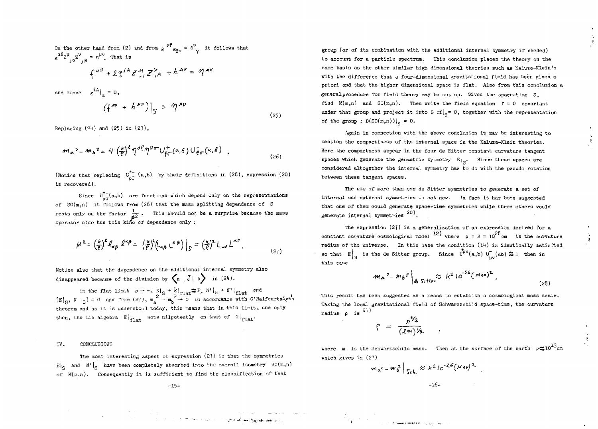On the other hand from (2) and from  $g^{\alpha\beta}g_{\gamma} = \delta^{\alpha}_{\gamma}$  it follows that  $g^{\alpha\beta}g_{\mu}g_{\mu}g^{\nu} = \eta^{\mu\nu}$ . That is  $f^{\mu\nu} + 2g^{jA}Z^{\mu}Z^{\nu}{}_{A} + h^{\mu\nu} = \eta^{\mu\nu}$ and since  $g^{iA}|_{e} = 0$ ,  $(f^{uv} + h^{uv})|_{S} = \eta^{uv}$ 

Replacing  $(24)$  and  $(25)$  in  $(23)$ ,

$$
m_{\alpha}^2 - m_b^2 = 4 \left(\frac{k}{\epsilon}\right)^2 \eta^{d} \eta^{V\tau} U_{\rho\sigma}^{\dagger}(\alpha,\ell) U_{\rho\sigma}^{\dagger}(\alpha,\ell) \quad . \tag{26}
$$

(25)

(Notice that replacing  $U_{0}^{+-}$  (a,b) by their definitions in (26), expression (20) is recovered).

Since  $U_{\alpha}^{+-}(a,b)$  are functions which depend only on the representations of S0(m,n) it follows from (26) that the mass splitting dependence of S rests only on the factor  $\frac{1}{2}$ . This should not be a surprise because the mass operator also has this kind of dependence only :

$$
\mu^2 = \left(\frac{h}{e}\right)^2 \mathcal{L}_{\alpha\beta} \mathcal{L}^{\alpha\beta} = \left(\frac{k}{e}\right)^2 \left(\mathcal{L}_{\alpha\beta} \mathcal{L}^{\alpha\beta}\right)\Big|_{S} = \left(\frac{k}{e}\right)^2 \mathcal{L}_{\alpha\beta} \mathcal{L}^{\alpha\beta} \tag{27}
$$

Notice also that the dependence on the additional internal symmetry also disappeared because of the division by  $\left\{ a \mid \mathcal{J} \mid b \right\}$  in (24).

In the flat limit  $p \rightarrow \infty$ ,  $\mathbb{E}|_{\mathcal{S}} \rightarrow \mathbb{E}$  $\begin{bmatrix} \mathbb{E} |_{S}, N |_{S} \end{bmatrix} = 0$  and from (27),  $m_{s}^2 - m_{b}^2$  $\left| \mathbf{P} \right|$ ,  $\mathbf{N}^{\dagger}$  |  $\left| \mathbf{S} \right|$  +  $\mathbf{N}^{\dagger}$  |  $\left| \mathbf{R} \right|$  and 0 in accordance with O'Raifeartaighs theorem and as it is understood today, this means that in this limit, and only then, the Lie algebra  $E|_{\text{flat}}$  acts nilpotently on that of  $G|_{\text{flat}}$ .

#### IV. CONCLUSIONS

The most interesting aspect of expression (27) is that the symmetries  $E|_{\rm c}$  and  $N^+|_{\rm c}$  have been completely absorbed into the overall isometry SO(m,n) of  $M(m,n)$ . Consequently it is sufficient to find the classification of that

**group** (or of its combination with the additional internal symmetry if needed) to account for a particle spectrum. This conclusion places the theory on the same basis as the other similar high dimensional theories such as Kaluza-Klein's with the difference that a four-dimensional gravitational field has been given a priori and that the higher dimensional space is flat. Also from this conclusion a generalprocedure for field theory may be set up. Given the space-time S, find  $M(m,n)$  and  $SO(m,n)$ . Then write the field equation  $f = 0$  covariant under that group and project it into S :  $f|_q = 0$ , together with the representation of the group :  $D(SO(m,n))|_{S} = 0$ .

Again in connection with the above conclusion it may be interesting to mention the compactiness of the internal space in the Kaluza-Klein theories. Here the compactness appear in the four de Sitter constant curvature tangent spaces which generate the geometric symmetry  $E|_{S}$ . Since these spaces are considered altogether the internal symmetry has to do with the pseudo rotation between these tangent spaces.

The use of more than one de Sitter symmetries to generate a set of internal and external symmetries is not new. In fact it has been suggested that one of them could generate space-time symmetries while three others would generate internal symmetries <sup>20)</sup>

The expression (27) is a generalization of an expression derived for a constant curvature cosmological model <sup>12</sup> where  $p = R = 10^{28}$  cm is the curvature radius of the universe. In this case the condition  $(14)$  is identically satisfied so that  $E\Big|_{S}$  is the de Sitter group. Since  $\tilde{U}^{IV}(a,b) U^{\dagger}_{iN}(ab) \mathrel{\mathfrak{L}} 1$  then in this case

$$
m\alpha^2 - m_b^2 \bigg|_{4b \text{ S}; \text{thr}} \approx k^2 \, 10^{-56} \, (\text{MeV})^2 \, . \tag{28}
$$

This result has been suggested as a means to establish a cosmological mass scale. Taking the local gravitational field of Schvarzschild space-time, the curvature radius  $\rho$  is  $^{21}$ )

$$
\rho = \frac{n^{3/2}}{(2m)^{1/2}}
$$

i<br>1990 - Samuel <del>Communiciane</del>s fazzo de la papa

where m is the Schwarzschild mass. Then at the surface of the earth  $p \approx 10^{-3}$  cm which gives in (27)

$$
m_{a}^{2} - m_{b}^{2}
$$
  $\left| \int_{Sch.} \approx k^{2} / \sigma^{-26} (Mev)^{2} \right|$ 

$$
-15-
$$

-16-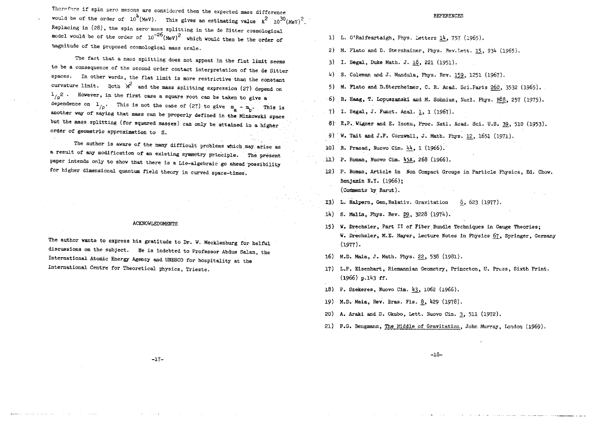Therefore if spin zero mesons are considered then the expected mass difference would be of the order of  $10^4$ (MeV). This gives an estimating value  $\kappa^2$   $10^{30}$ (MeV)<sup>2</sup>. Replacing in (28), the spin zero" mass splitting in the de Sitter cosmologioal model would be of the order of  $10^{-26}$  (MeV)<sup>2</sup> which would then be the order of magnitude of the proposed cosmologioal mass scale.

The fact that a mass splitting does not appeat in the flat limit seems to be a consequence of the second order contact interpretation of the de Sitter spaces. In other words, the flat limit is more restrictive than the constant curvature limit. Both  $M^2$  and the mass splitting expression (27) depend on  $1_{/a}$  2. However, in the first case a square root can be taken to give a dependence on  $1_{/p}$ . This is not the case of (27) to give  $m_{p} - m_{p}$ . This is another way of saying that mass can be properly defined in the Minkowski space but the mass splitting (for squared masses) can only be attained in a higher order of geometric approximation to S. .

The author is avare of the many difficult problems which.may. arise as a result of any modification of an existing symmetry principle. The present paper intends only to show that there is a Lie-algebraic go ahead possibility for higher dimensional quantum field theory in curved space-times'.

#### ACKNOWLEDGMENTS

The author wants to express his gratitude to Dr. W. Mecklenburg for helful discussions on the subject. He is indebted to Professor Abdus Salam, the International Atomic Energy Agency and UNESCO for hospitality at the International Centre for Theoretical physics, Trieste.

#### REFERENCES

- 1) L. O'Raifeartaigh, Phys. Letters  $\underline{14}$ , 757 (1965).
- 2) M. Flato and D. Sternhaimer, Phys. Rev. Lett.  $15$ , 934 (1965).
- 3) I. Segal, Duke Math. J. 18, 221 (1951).
- I\*)' S. Coleman and J. Mandula, Phys. Rev. 159., 1251 (1967).
- 5) M. Flato and D.Sternheimer, C. R. Acad. Sci.Paris 260, 3532 (1965).
- 6) R. Haag, T. Lopuszanski and M. Sohnius, Nucl. Phys.  $B88$ , 257 (1975).
- 7.) I. Segal, J. Funct. Anal. 1\_, 1 (1967).
- 8) E.P. Wigner and E. Inonu, Proc. Natl. Acad. Sci. U.S. 39, 510 (1953).
- 9) W. Tait and J.F. Cornwell, J. Math. Phys. 12, 1651 (1971).
- 10) *R.* Prasad, Nuovo Cim. *hk\_,* 1 (1966).'
- .11) P. Roman, Nuovo Cim. 1\*5A, 268 (1966).
- 12) P. Roman, Article in Non Compact Groups in Particle Physics, Ed. Chow, Benjamin H.Y. (1966); {Comments by Barat).
- 13) L. Halpern, Gen. Relativ. Gravitation  $8, 623$  (1977).
- *Ik)* S. Malin, Phys. Rev. D9\_, 3228 (197^).
- 15) W. Drechsler, Part II of Fiber.Bundle Techniques in Gauge Theories; W. Drechsler, M.E. Mayer, Lecture Notes in Physics 67, Springer, Germany (1977)-
- 16) M.D. Maia, J. Math. Phys. 22, 538 (1981).
- 17) L.P. Eisenhart, Rlemannian Geometry, Princeton, U. Press, Sixth Print.  $(1966)$  p.143 ff.
- 18) P. Szekeres, Nuovo Cim. *h^,* 1062 (1966).
- 19) M.D. Maia, Rev. Bras. Fis. 8, 429 (1978).
- 20) A. Araki and S. Okubo, Lett. Nuovo Cim. 3., 511 (1972).
- 21) P.G. Bengmann, The Riddle of Gravitation, John Murray, London (1969).